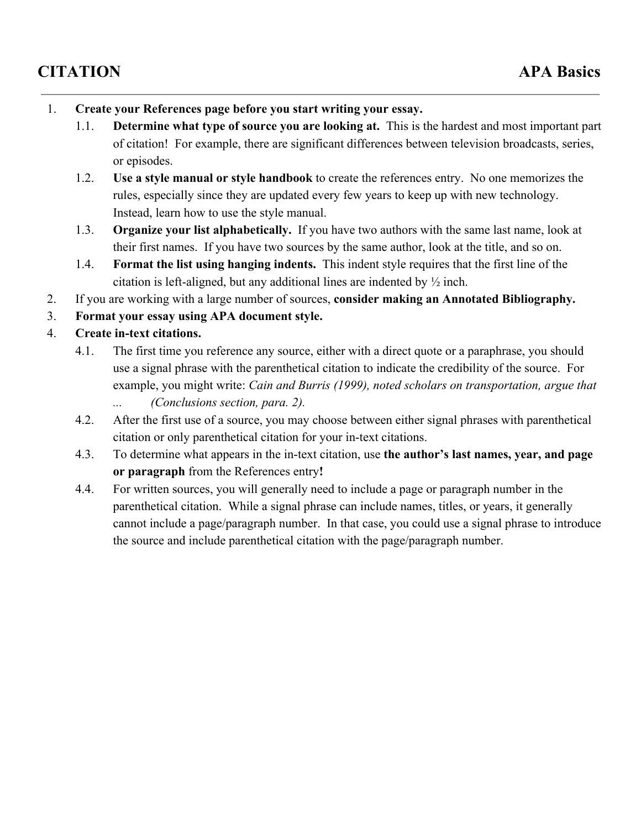## **CITATION APA Basics**

- 1. **Create your References page before you start writing your essay.**
	- 1.1. **Determine what type of source you are looking at.** This is the hardest and most important part of citation! For example, there are significant differences between television broadcasts, series, or episodes.
	- 1.2. **Use a style manual or style handbook**to create the references entry. No one memorizes the rules, especially since they are updated every few years to keep up with new technology. Instead, learn how to use the style manual.
	- 1.3. **Organize your list alphabetically.**If you have two authors with the same last name, look at their first names. If you have two sources by the same author, look at the title, and so on.
	- 1.4. **Format the list using hanging indents.** This indent style requires that the first line of the citation is left-aligned, but any additional lines are indented by  $\frac{1}{2}$  inch.
- 2. If you are working with a large number of sources, **consider making an Annotated Bibliography.**
- 3. **Format your essay using APA document style.**

## 4. **Create in-text citations.**

- 4.1. The first time you reference any source, either with a direct quote or a paraphrase, you should use a signal phrase with the parenthetical citation to indicate the credibility of the source. For example, you might write: *Cain and Burris (1999), noted scholars on transportation, argue that ... (Conclusions section, para. 2).*
- 4.2. After the first use of a source, you may choose between either signal phrases with parenthetical citation or only parenthetical citation for your in-text citations.
- 4.3. To determine what appears in the in-text citation, use the **author's** last names, year, and page **or paragraph** from the References entry**!**
- 4.4. For written sources, you will generally need to include a page or paragraph number in the parenthetical citation. While a signal phrase can include names, titles, or years, it generally cannot include a page/paragraph number. In that case, you could use a signal phrase to introduce the source and include parenthetical citation with the page/paragraph number.